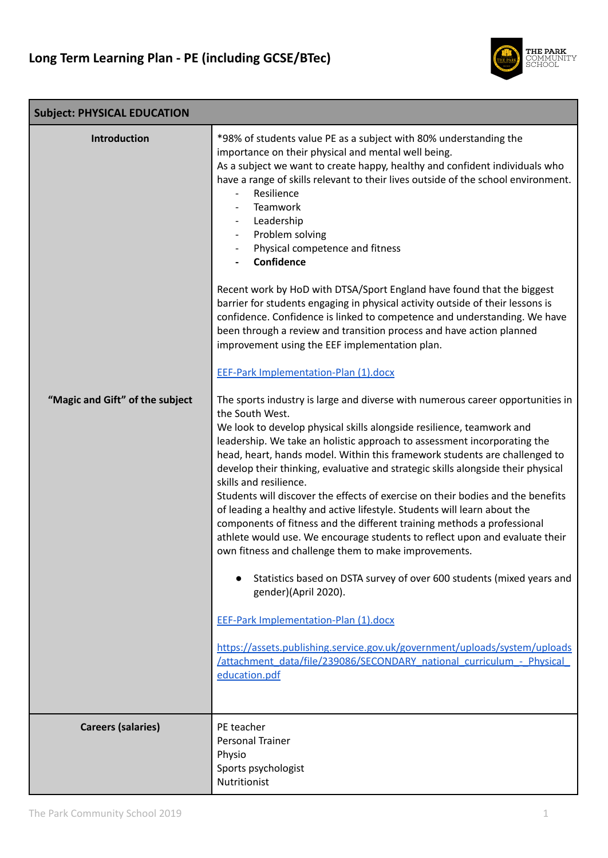

| <b>Subject: PHYSICAL EDUCATION</b>              |                                                                                                                                                                                                                                                                                                                                                                                                                                                                                                                                                                                                                                                                                                                                                                                                                                                                                                                                                                                                                                                                                                                                                                                                                                                                                                                                                                                                                                                                                                                                                                                                                                                                                                                                                                                                                                                                                                                                                                                             |  |  |
|-------------------------------------------------|---------------------------------------------------------------------------------------------------------------------------------------------------------------------------------------------------------------------------------------------------------------------------------------------------------------------------------------------------------------------------------------------------------------------------------------------------------------------------------------------------------------------------------------------------------------------------------------------------------------------------------------------------------------------------------------------------------------------------------------------------------------------------------------------------------------------------------------------------------------------------------------------------------------------------------------------------------------------------------------------------------------------------------------------------------------------------------------------------------------------------------------------------------------------------------------------------------------------------------------------------------------------------------------------------------------------------------------------------------------------------------------------------------------------------------------------------------------------------------------------------------------------------------------------------------------------------------------------------------------------------------------------------------------------------------------------------------------------------------------------------------------------------------------------------------------------------------------------------------------------------------------------------------------------------------------------------------------------------------------------|--|--|
| Introduction<br>"Magic and Gift" of the subject | *98% of students value PE as a subject with 80% understanding the<br>importance on their physical and mental well being.<br>As a subject we want to create happy, healthy and confident individuals who<br>have a range of skills relevant to their lives outside of the school environment.<br>Resilience<br>Teamwork<br>Leadership<br>Problem solving<br>Physical competence and fitness<br>Confidence<br>Recent work by HoD with DTSA/Sport England have found that the biggest<br>barrier for students engaging in physical activity outside of their lessons is<br>confidence. Confidence is linked to competence and understanding. We have<br>been through a review and transition process and have action planned<br>improvement using the EEF implementation plan.<br><b>EEF-Park Implementation-Plan (1).docx</b><br>The sports industry is large and diverse with numerous career opportunities in<br>the South West.<br>We look to develop physical skills alongside resilience, teamwork and<br>leadership. We take an holistic approach to assessment incorporating the<br>head, heart, hands model. Within this framework students are challenged to<br>develop their thinking, evaluative and strategic skills alongside their physical<br>skills and resilience.<br>Students will discover the effects of exercise on their bodies and the benefits<br>of leading a healthy and active lifestyle. Students will learn about the<br>components of fitness and the different training methods a professional<br>athlete would use. We encourage students to reflect upon and evaluate their<br>own fitness and challenge them to make improvements.<br>Statistics based on DSTA survey of over 600 students (mixed years and<br>gender)(April 2020).<br><b>EEF-Park Implementation-Plan (1).docx</b><br>https://assets.publishing.service.gov.uk/government/uploads/system/uploads<br>/attachment data/file/239086/SECONDARY national curriculum - Physical<br>education.pdf |  |  |
| <b>Careers (salaries)</b>                       | PE teacher<br><b>Personal Trainer</b>                                                                                                                                                                                                                                                                                                                                                                                                                                                                                                                                                                                                                                                                                                                                                                                                                                                                                                                                                                                                                                                                                                                                                                                                                                                                                                                                                                                                                                                                                                                                                                                                                                                                                                                                                                                                                                                                                                                                                       |  |  |
|                                                 | Physio<br>Sports psychologist<br>Nutritionist                                                                                                                                                                                                                                                                                                                                                                                                                                                                                                                                                                                                                                                                                                                                                                                                                                                                                                                                                                                                                                                                                                                                                                                                                                                                                                                                                                                                                                                                                                                                                                                                                                                                                                                                                                                                                                                                                                                                               |  |  |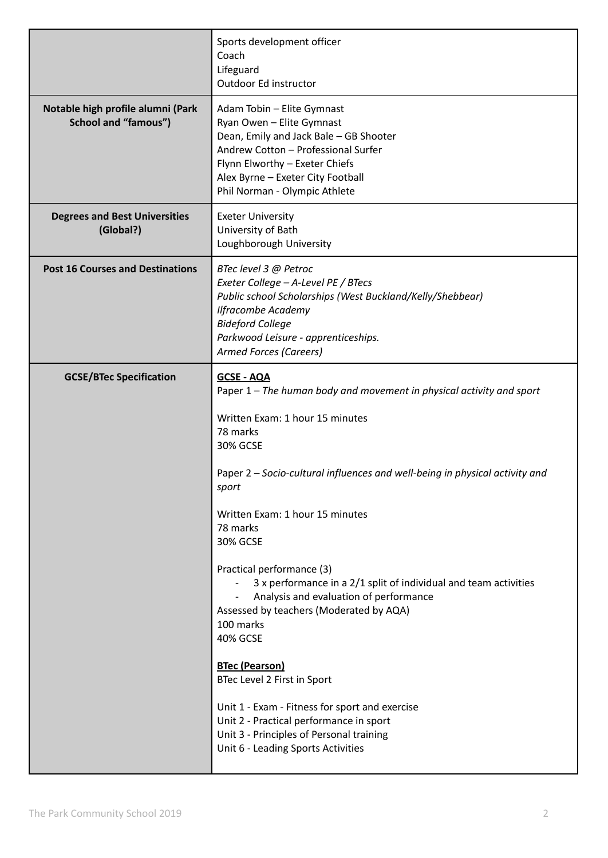|                                                                  | Sports development officer<br>Coach<br>Lifeguard<br>Outdoor Ed instructor                                                                                                                                                                                                                                                                                                                                                                                                                                                                                                                                                                                                                                                                                                          |
|------------------------------------------------------------------|------------------------------------------------------------------------------------------------------------------------------------------------------------------------------------------------------------------------------------------------------------------------------------------------------------------------------------------------------------------------------------------------------------------------------------------------------------------------------------------------------------------------------------------------------------------------------------------------------------------------------------------------------------------------------------------------------------------------------------------------------------------------------------|
| Notable high profile alumni (Park<br><b>School and "famous")</b> | Adam Tobin - Elite Gymnast<br>Ryan Owen - Elite Gymnast<br>Dean, Emily and Jack Bale - GB Shooter<br>Andrew Cotton - Professional Surfer<br>Flynn Elworthy - Exeter Chiefs<br>Alex Byrne - Exeter City Football<br>Phil Norman - Olympic Athlete                                                                                                                                                                                                                                                                                                                                                                                                                                                                                                                                   |
| <b>Degrees and Best Universities</b><br>(Global?)                | <b>Exeter University</b><br>University of Bath<br>Loughborough University                                                                                                                                                                                                                                                                                                                                                                                                                                                                                                                                                                                                                                                                                                          |
| <b>Post 16 Courses and Destinations</b>                          | BTec level 3 @ Petroc<br>Exeter College - A-Level PE / BTecs<br>Public school Scholarships (West Buckland/Kelly/Shebbear)<br><b>Ilfracombe Academy</b><br><b>Bideford College</b><br>Parkwood Leisure - apprenticeships.<br><b>Armed Forces (Careers)</b>                                                                                                                                                                                                                                                                                                                                                                                                                                                                                                                          |
| <b>GCSE/BTec Specification</b>                                   | <b>GCSE - AQA</b><br>Paper 1 – The human body and movement in physical activity and sport<br>Written Exam: 1 hour 15 minutes<br>78 marks<br><b>30% GCSE</b><br>Paper 2 - Socio-cultural influences and well-being in physical activity and<br>sport<br>Written Exam: 1 hour 15 minutes<br>78 marks<br><b>30% GCSE</b><br>Practical performance (3)<br>3 x performance in a 2/1 split of individual and team activities<br>Analysis and evaluation of performance<br>Assessed by teachers (Moderated by AQA)<br>100 marks<br><b>40% GCSE</b><br><b>BTec (Pearson)</b><br>BTec Level 2 First in Sport<br>Unit 1 - Exam - Fitness for sport and exercise<br>Unit 2 - Practical performance in sport<br>Unit 3 - Principles of Personal training<br>Unit 6 - Leading Sports Activities |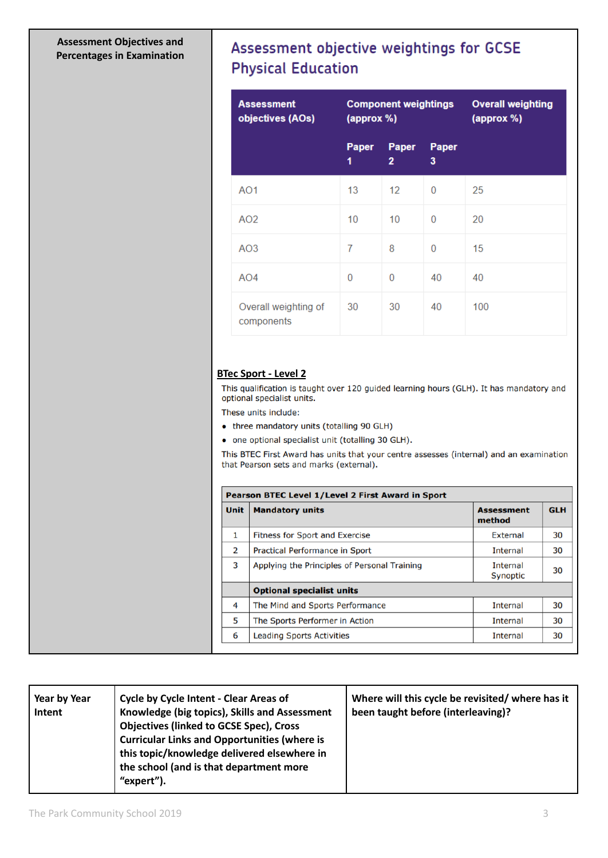## **Assessment Objectives and Percentages in Examination**

## Assessment objective weightings for GCSE **Physical Education**

| <b>Assessment</b><br>objectives (AOs) | <b>Component weightings</b><br>(approx %) |                       |            | <b>Overall weighting</b><br>(approx %) |
|---------------------------------------|-------------------------------------------|-----------------------|------------|----------------------------------------|
|                                       | Paper<br>1                                | Paper<br>$\mathbf{2}$ | Paper<br>3 |                                        |
| AO <sub>1</sub>                       | 13                                        | 12                    | $\Omega$   | 25                                     |
| AO <sub>2</sub>                       | 10                                        | 10                    | 0          | 20                                     |
| AO3                                   | 7                                         | 8                     | 0          | 15                                     |
| AO4                                   | 0                                         | $\Omega$              | 40         | 40                                     |
| Overall weighting of<br>components    | 30                                        | 30                    | 40         | 100                                    |

## **BTec Sport - Level 2**

This qualification is taught over 120 guided learning hours (GLH). It has mandatory and optional specialist units.

These units include:

- three mandatory units (totalling 90 GLH)
- one optional specialist unit (totalling 30 GLH).

This BTEC First Award has units that your centre assesses (internal) and an examination that Pearson sets and marks (external).

| <b>Unit</b> | <b>Mandatory units</b>                       | <b>Assessment</b><br>method | <b>GLH</b> |
|-------------|----------------------------------------------|-----------------------------|------------|
| 1           | <b>Fitness for Sport and Exercise</b>        | External                    | 30         |
| 2           | Practical Performance in Sport               | <b>Internal</b>             | 30         |
| 3           | Applying the Principles of Personal Training | Internal<br><b>Synoptic</b> | 30         |
|             | <b>Optional specialist units</b>             |                             |            |
| 4           | The Mind and Sports Performance              | <b>Internal</b>             | 30         |
| 5           | The Sports Performer in Action               | <b>Internal</b>             | 30         |
| 6           | <b>Leading Sports Activities</b>             | Internal                    | 30         |

| Year by Year<br>Intent | <b>Cycle by Cycle Intent - Clear Areas of</b><br>Knowledge (big topics), Skills and Assessment<br><b>Objectives (linked to GCSE Spec), Cross</b><br><b>Curricular Links and Opportunities (where is</b><br>this topic/knowledge delivered elsewhere in<br>the school (and is that department more<br>"expert"). | Where will this cycle be revisited/ where has it<br>been taught before (interleaving)? |
|------------------------|-----------------------------------------------------------------------------------------------------------------------------------------------------------------------------------------------------------------------------------------------------------------------------------------------------------------|----------------------------------------------------------------------------------------|
|------------------------|-----------------------------------------------------------------------------------------------------------------------------------------------------------------------------------------------------------------------------------------------------------------------------------------------------------------|----------------------------------------------------------------------------------------|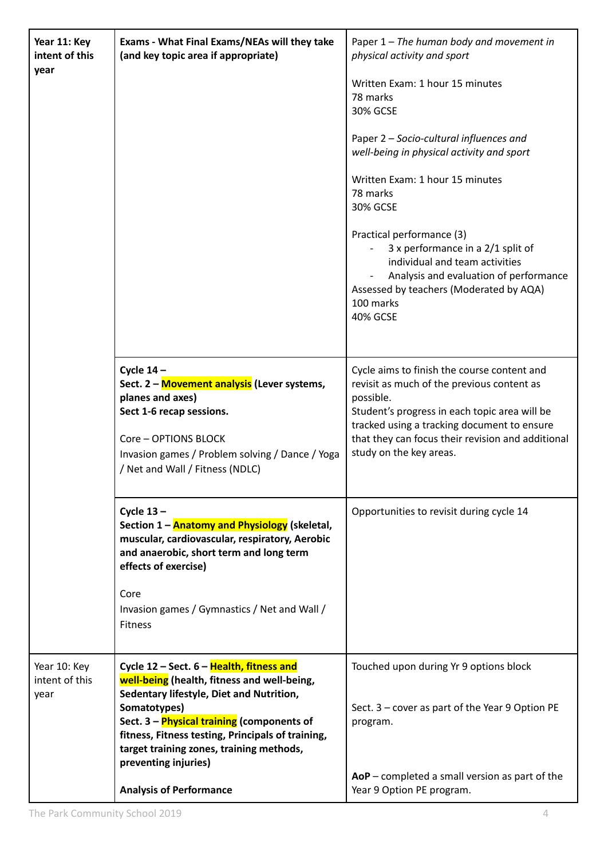| Year 11: Key<br>intent of this<br>year | Exams - What Final Exams/NEAs will they take<br>(and key topic area if appropriate)                                                                                                                                                                                                                                                                          | Paper 1 - The human body and movement in<br>physical activity and sport<br>Written Exam: 1 hour 15 minutes<br>78 marks<br><b>30% GCSE</b><br>Paper 2 - Socio-cultural influences and<br>well-being in physical activity and sport<br>Written Exam: 1 hour 15 minutes<br>78 marks<br><b>30% GCSE</b><br>Practical performance (3)<br>3 x performance in a 2/1 split of<br>individual and team activities<br>Analysis and evaluation of performance<br>Assessed by teachers (Moderated by AQA)<br>100 marks<br><b>40% GCSE</b> |
|----------------------------------------|--------------------------------------------------------------------------------------------------------------------------------------------------------------------------------------------------------------------------------------------------------------------------------------------------------------------------------------------------------------|------------------------------------------------------------------------------------------------------------------------------------------------------------------------------------------------------------------------------------------------------------------------------------------------------------------------------------------------------------------------------------------------------------------------------------------------------------------------------------------------------------------------------|
|                                        | Cycle $14-$<br>Sect. 2 - Movement analysis (Lever systems,<br>planes and axes)<br>Sect 1-6 recap sessions.<br>Core - OPTIONS BLOCK<br>Invasion games / Problem solving / Dance / Yoga<br>/ Net and Wall / Fitness (NDLC)                                                                                                                                     | Cycle aims to finish the course content and<br>revisit as much of the previous content as<br>possible.<br>Student's progress in each topic area will be<br>tracked using a tracking document to ensure<br>that they can focus their revision and additional<br>study on the key areas.                                                                                                                                                                                                                                       |
|                                        | Cycle $13 -$<br>Section 1 - <b>Anatomy and Physiology</b> (skeletal,<br>muscular, cardiovascular, respiratory, Aerobic<br>and anaerobic, short term and long term<br>effects of exercise)<br>Core<br>Invasion games / Gymnastics / Net and Wall /<br>Fitness                                                                                                 | Opportunities to revisit during cycle 14                                                                                                                                                                                                                                                                                                                                                                                                                                                                                     |
| Year 10: Key<br>intent of this<br>year | Cycle 12 - Sect. 6 - Health, fitness and<br>well-being (health, fitness and well-being,<br>Sedentary lifestyle, Diet and Nutrition,<br>Somatotypes)<br>Sect. 3 - Physical training (components of<br>fitness, Fitness testing, Principals of training,<br>target training zones, training methods,<br>preventing injuries)<br><b>Analysis of Performance</b> | Touched upon during Yr 9 options block<br>Sect. $3$ – cover as part of the Year 9 Option PE<br>program.<br>$AoP$ – completed a small version as part of the<br>Year 9 Option PE program.                                                                                                                                                                                                                                                                                                                                     |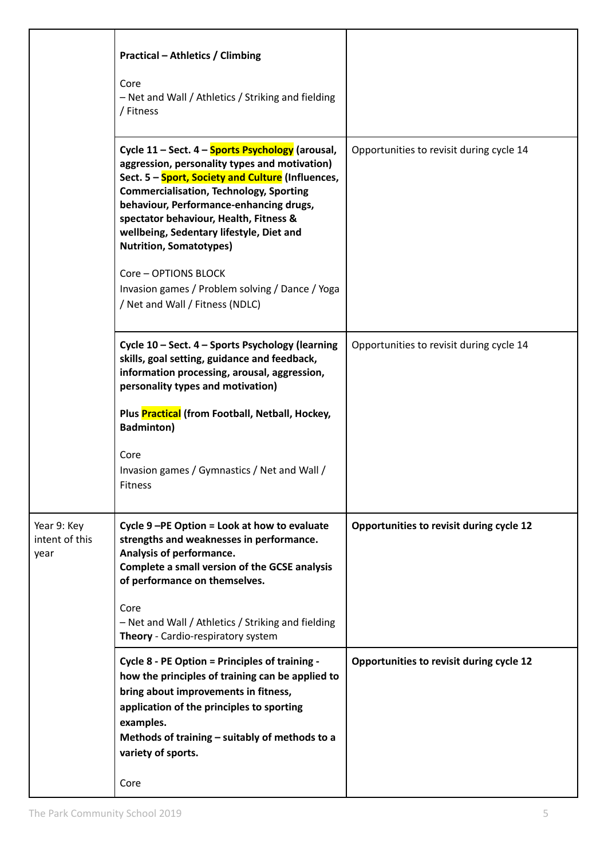|                                       | <b>Practical - Athletics / Climbing</b><br>Core<br>- Net and Wall / Athletics / Striking and fielding<br>/ Fitness                                                                                                                                                                                                                                                                                                                                                                               |                                          |
|---------------------------------------|--------------------------------------------------------------------------------------------------------------------------------------------------------------------------------------------------------------------------------------------------------------------------------------------------------------------------------------------------------------------------------------------------------------------------------------------------------------------------------------------------|------------------------------------------|
|                                       | Cycle 11 - Sect. 4 - Sports Psychology (arousal,<br>aggression, personality types and motivation)<br>Sect. 5 - Sport, Society and Culture (Influences,<br><b>Commercialisation, Technology, Sporting</b><br>behaviour, Performance-enhancing drugs,<br>spectator behaviour, Health, Fitness &<br>wellbeing, Sedentary lifestyle, Diet and<br><b>Nutrition, Somatotypes)</b><br><b>Core - OPTIONS BLOCK</b><br>Invasion games / Problem solving / Dance / Yoga<br>/ Net and Wall / Fitness (NDLC) | Opportunities to revisit during cycle 14 |
|                                       | Cycle 10 - Sect. 4 - Sports Psychology (learning<br>skills, goal setting, guidance and feedback,<br>information processing, arousal, aggression,<br>personality types and motivation)<br>Plus Practical (from Football, Netball, Hockey,<br><b>Badminton)</b><br>Core<br>Invasion games / Gymnastics / Net and Wall /<br>Fitness                                                                                                                                                                 | Opportunities to revisit during cycle 14 |
| Year 9: Key<br>intent of this<br>year | Cycle 9-PE Option = Look at how to evaluate<br>strengths and weaknesses in performance.<br>Analysis of performance.<br>Complete a small version of the GCSE analysis<br>of performance on themselves.<br>Core<br>- Net and Wall / Athletics / Striking and fielding<br>Theory - Cardio-respiratory system                                                                                                                                                                                        | Opportunities to revisit during cycle 12 |
|                                       | Cycle 8 - PE Option = Principles of training -<br>how the principles of training can be applied to<br>bring about improvements in fitness,<br>application of the principles to sporting<br>examples.<br>Methods of training - suitably of methods to a<br>variety of sports.<br>Core                                                                                                                                                                                                             | Opportunities to revisit during cycle 12 |